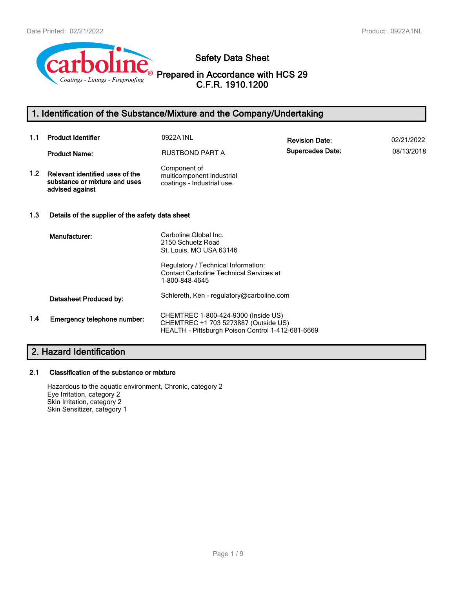

**Safety Data Sheet**

**Prepared in Accordance with HCS 29 C.F.R. 1910.1200**

# **1. Identification of the Substance/Mixture and the Company/Undertaking**

| 1.1              | <b>Product Identifier</b>                                                           | 0922A1NL                                                                                                                         | <b>Revision Date:</b>   | 02/21/2022 |
|------------------|-------------------------------------------------------------------------------------|----------------------------------------------------------------------------------------------------------------------------------|-------------------------|------------|
|                  | <b>Product Name:</b>                                                                | <b>RUSTBOND PART A</b>                                                                                                           | <b>Supercedes Date:</b> | 08/13/2018 |
| 1.2 <sub>1</sub> | Relevant identified uses of the<br>substance or mixture and uses<br>advised against | Component of<br>multicomponent industrial<br>coatings - Industrial use.                                                          |                         |            |
| 1.3              | Details of the supplier of the safety data sheet                                    |                                                                                                                                  |                         |            |
|                  | Manufacturer:                                                                       | Carboline Global Inc.<br>2150 Schuetz Road<br>St. Louis, MO USA 63146                                                            |                         |            |
|                  |                                                                                     | Regulatory / Technical Information:<br><b>Contact Carboline Technical Services at</b><br>1-800-848-4645                          |                         |            |
|                  | Datasheet Produced by:                                                              | Schlereth, Ken - regulatory@carboline.com                                                                                        |                         |            |
| 1.4              | Emergency telephone number:                                                         | CHEMTREC 1-800-424-9300 (Inside US)<br>CHEMTREC +1 703 5273887 (Outside US)<br>HEALTH - Pittsburgh Poison Control 1-412-681-6669 |                         |            |

# **2. Hazard Identification**

# **2.1 Classification of the substance or mixture**

Hazardous to the aquatic environment, Chronic, category 2 Eye Irritation, category 2 Skin Irritation, category 2 Skin Sensitizer, category 1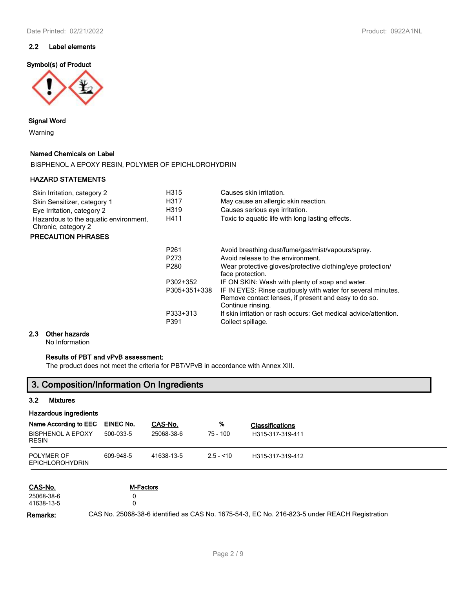# **2.2 Label elements**

### **Symbol(s) of Product**



### **Signal Word**

Warning

### **Named Chemicals on Label**

BISPHENOL A EPOXY RESIN, POLYMER OF EPICHLOROHYDRIN

## **HAZARD STATEMENTS**

| Skin Irritation, category 2           | H315 | Causes skin irritation.                          |
|---------------------------------------|------|--------------------------------------------------|
| Skin Sensitizer, category 1           | H317 | May cause an allergic skin reaction.             |
| Eye Irritation, category 2            | H319 | Causes serious eye irritation.                   |
| Hazardous to the aquatic environment. | H411 | Toxic to aguatic life with long lasting effects. |
| Chronic, category 2                   |      |                                                  |

## **PRECAUTION PHRASES**

| P <sub>261</sub><br>P <sub>273</sub> | Avoid breathing dust/fume/gas/mist/vapours/spray.<br>Avoid release to the environment.                                                    |
|--------------------------------------|-------------------------------------------------------------------------------------------------------------------------------------------|
| P <sub>280</sub>                     | Wear protective gloves/protective clothing/eye protection/<br>face protection.                                                            |
| P302+352                             | IF ON SKIN: Wash with plenty of soap and water.                                                                                           |
| P305+351+338                         | IF IN EYES: Rinse cautiously with water for several minutes.<br>Remove contact lenses, if present and easy to do so.<br>Continue rinsing. |
| P333+313<br>P391                     | If skin irritation or rash occurs: Get medical advice/attention.<br>Collect spillage.                                                     |

#### **2.3 Other hazards**

No Information

## **Results of PBT and vPvB assessment:**

The product does not meet the criteria for PBT/VPvB in accordance with Annex XIII.

# **3. Composition/Information On Ingredients**

#### **3.2 Mixtures**

## **Hazardous ingredients**

| Name According to EEC<br><b>BISPHENOL A EPOXY</b><br><b>RESIN</b> | <b>EINEC No.</b><br>500-033-5 | CAS-No.<br>25068-38-6 | $\frac{9}{6}$<br>75 - 100 | <b>Classifications</b><br>H315-317-319-411 |
|-------------------------------------------------------------------|-------------------------------|-----------------------|---------------------------|--------------------------------------------|
| POLYMER OF<br><b>EPICHLOROHYDRIN</b>                              | 609-948-5                     | 41638-13-5            | $2.5 - 10$                | H315-317-319-412                           |

| CAS-No.    | M-Factors                                                                                     |
|------------|-----------------------------------------------------------------------------------------------|
| 25068-38-6 |                                                                                               |
| 41638-13-5 |                                                                                               |
| Remarks:   | CAS No. 25068-38-6 identified as CAS No. 1675-54-3, EC No. 216-823-5 under REACH Registration |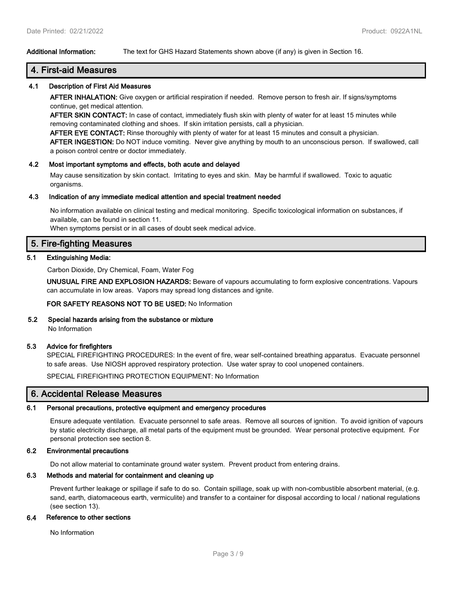## **Additional Information:** The text for GHS Hazard Statements shown above (if any) is given in Section 16.

# **4. First-aid Measures**

#### **4.1 Description of First Aid Measures**

**AFTER INHALATION:** Give oxygen or artificial respiration if needed. Remove person to fresh air. If signs/symptoms continue, get medical attention.

**AFTER SKIN CONTACT:** In case of contact, immediately flush skin with plenty of water for at least 15 minutes while removing contaminated clothing and shoes. If skin irritation persists, call a physician.

**AFTER EYE CONTACT:** Rinse thoroughly with plenty of water for at least 15 minutes and consult a physician. **AFTER INGESTION:** Do NOT induce vomiting. Never give anything by mouth to an unconscious person. If swallowed, call a poison control centre or doctor immediately.

#### **4.2 Most important symptoms and effects, both acute and delayed**

May cause sensitization by skin contact. Irritating to eyes and skin. May be harmful if swallowed. Toxic to aquatic organisms.

#### **4.3 Indication of any immediate medical attention and special treatment needed**

No information available on clinical testing and medical monitoring. Specific toxicological information on substances, if available, can be found in section 11.

When symptoms persist or in all cases of doubt seek medical advice.

# **5. Fire-fighting Measures**

#### **5.1 Extinguishing Media:**

Carbon Dioxide, Dry Chemical, Foam, Water Fog

**UNUSUAL FIRE AND EXPLOSION HAZARDS:** Beware of vapours accumulating to form explosive concentrations. Vapours can accumulate in low areas. Vapors may spread long distances and ignite.

#### **FOR SAFETY REASONS NOT TO BE USED:** No Information

#### **5.2 Special hazards arising from the substance or mixture**

No Information

#### **5.3 Advice for firefighters**

SPECIAL FIREFIGHTING PROCEDURES: In the event of fire, wear self-contained breathing apparatus. Evacuate personnel to safe areas. Use NIOSH approved respiratory protection. Use water spray to cool unopened containers.

SPECIAL FIREFIGHTING PROTECTION EQUIPMENT: No Information

# **6. Accidental Release Measures**

#### **6.1 Personal precautions, protective equipment and emergency procedures**

Ensure adequate ventilation. Evacuate personnel to safe areas. Remove all sources of ignition. To avoid ignition of vapours by static electricity discharge, all metal parts of the equipment must be grounded. Wear personal protective equipment. For personal protection see section 8.

#### **6.2 Environmental precautions**

Do not allow material to contaminate ground water system. Prevent product from entering drains.

#### **6.3 Methods and material for containment and cleaning up**

Prevent further leakage or spillage if safe to do so. Contain spillage, soak up with non-combustible absorbent material, (e.g. sand, earth, diatomaceous earth, vermiculite) and transfer to a container for disposal according to local / national regulations (see section 13).

#### **6.4 Reference to other sections**

No Information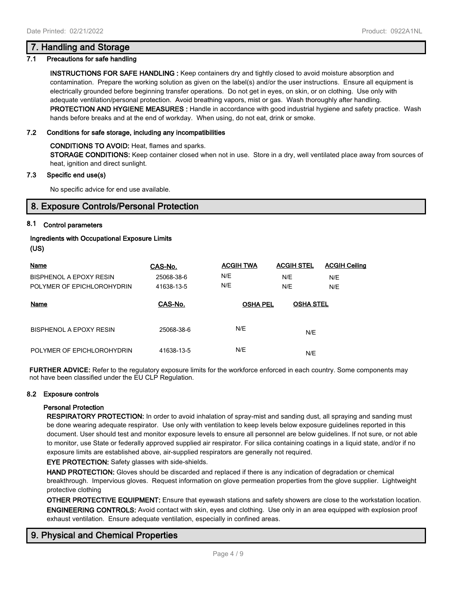## **7.1 Precautions for safe handling**

**INSTRUCTIONS FOR SAFE HANDLING :** Keep containers dry and tightly closed to avoid moisture absorption and contamination. Prepare the working solution as given on the label(s) and/or the user instructions. Ensure all equipment is electrically grounded before beginning transfer operations. Do not get in eyes, on skin, or on clothing. Use only with adequate ventilation/personal protection. Avoid breathing vapors, mist or gas. Wash thoroughly after handling. **PROTECTION AND HYGIENE MEASURES :** Handle in accordance with good industrial hygiene and safety practice. Wash hands before breaks and at the end of workday. When using, do not eat, drink or smoke.

## **7.2 Conditions for safe storage, including any incompatibilities**

**CONDITIONS TO AVOID:** Heat, flames and sparks.

**STORAGE CONDITIONS:** Keep container closed when not in use. Store in a dry, well ventilated place away from sources of heat, ignition and direct sunlight.

#### **7.3 Specific end use(s)**

No specific advice for end use available.

# **8. Exposure Controls/Personal Protection**

## **8.1 Control parameters**

## **Ingredients with Occupational Exposure Limits (US)**

| Name                       | CAS-No.    | <b>ACGIH TWA</b> | <b>ACGIH STEL</b> | <b>ACGIH Ceiling</b> |
|----------------------------|------------|------------------|-------------------|----------------------|
| BISPHENOL A EPOXY RESIN    | 25068-38-6 | N/E              | N/E               | N/E                  |
| POLYMER OF EPICHLOROHYDRIN | 41638-13-5 | N/E              | N/E               | N/E                  |
| Name                       | CAS-No.    | <b>OSHA PEL</b>  | <b>OSHA STEL</b>  |                      |
| BISPHENOL A EPOXY RESIN    | 25068-38-6 | N/E              | N/E               |                      |
| POLYMER OF EPICHLOROHYDRIN | 41638-13-5 | N/E              | N/E               |                      |

**FURTHER ADVICE:** Refer to the regulatory exposure limits for the workforce enforced in each country. Some components may not have been classified under the EU CLP Regulation.

### **8.2 Exposure controls**

#### **Personal Protection**

**RESPIRATORY PROTECTION:** In order to avoid inhalation of spray-mist and sanding dust, all spraying and sanding must be done wearing adequate respirator. Use only with ventilation to keep levels below exposure guidelines reported in this document. User should test and monitor exposure levels to ensure all personnel are below guidelines. If not sure, or not able to monitor, use State or federally approved supplied air respirator. For silica containing coatings in a liquid state, and/or if no exposure limits are established above, air-supplied respirators are generally not required.

**EYE PROTECTION:** Safety glasses with side-shields.

**HAND PROTECTION:** Gloves should be discarded and replaced if there is any indication of degradation or chemical breakthrough. Impervious gloves. Request information on glove permeation properties from the glove supplier. Lightweight protective clothing

**OTHER PROTECTIVE EQUIPMENT:** Ensure that eyewash stations and safety showers are close to the workstation location. **ENGINEERING CONTROLS:** Avoid contact with skin, eyes and clothing. Use only in an area equipped with explosion proof exhaust ventilation. Ensure adequate ventilation, especially in confined areas.

# **9. Physical and Chemical Properties**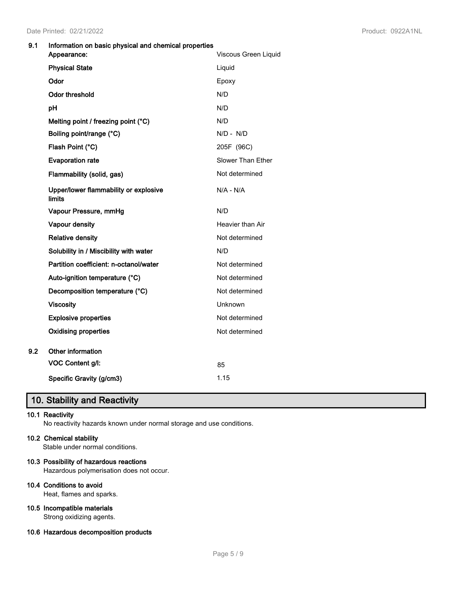## **9.1 Information on basic physical and chemical properties**

| Viscous Green Liquid |
|----------------------|
| Liquid               |
| Epoxy                |
| N/D                  |
| N/D                  |
| N/D                  |
| $N/D - N/D$          |
| 205F (96C)           |
| Slower Than Ether    |
| Not determined       |
| $N/A - N/A$          |
| N/D                  |
| Heavier than Air     |
| Not determined       |
| N/D                  |
| Not determined       |
| Not determined       |
| Not determined       |
| Unknown              |
| Not determined       |
| Not determined       |
|                      |
| 85                   |
| 1.15                 |
|                      |

# **10. Stability and Reactivity**

## **10.1 Reactivity**

No reactivity hazards known under normal storage and use conditions.

### **10.2 Chemical stability**

Stable under normal conditions.

## **10.3 Possibility of hazardous reactions**

Hazardous polymerisation does not occur.

#### **10.4 Conditions to avoid**

Heat, flames and sparks.

# **10.5 Incompatible materials**

Strong oxidizing agents.

# **10.6 Hazardous decomposition products**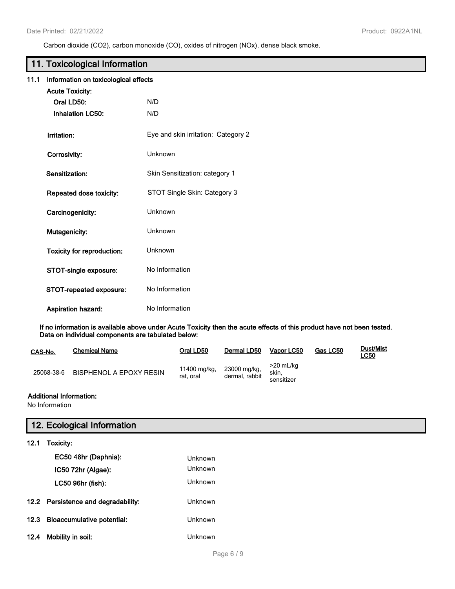Carbon dioxide (CO2), carbon monoxide (CO), oxides of nitrogen (NOx), dense black smoke.

# **11. Toxicological Information**

| 11.1 |  | Information on toxicological effects |  |
|------|--|--------------------------------------|--|
|------|--|--------------------------------------|--|

| <b>Acute Toxicity:</b>            |                                     |
|-----------------------------------|-------------------------------------|
| Oral LD50:                        | N/D                                 |
| <b>Inhalation LC50:</b>           | N/D                                 |
| Irritation:                       | Eye and skin irritation: Category 2 |
| Corrosivity:                      | Unknown                             |
| Sensitization:                    | Skin Sensitization: category 1      |
| Repeated dose toxicity:           | STOT Single Skin: Category 3        |
| Carcinogenicity:                  | Unknown                             |
| Mutagenicity:                     | Unknown                             |
| <b>Toxicity for reproduction:</b> | Unknown                             |
| STOT-single exposure:             | No Information                      |
| STOT-repeated exposure:           | No Information                      |
| <b>Aspiration hazard:</b>         | No Information                      |

**If no information is available above under Acute Toxicity then the acute effects of this product have not been tested. Data on individual components are tabulated below:**

| CAS-No.    | <b>Chemical Name</b>           | Oral LD50                 | Dermal LD50                    | Vapor LC50                       | Gas LC50 | <b>Dust/Mist</b><br><u>LC50</u> |
|------------|--------------------------------|---------------------------|--------------------------------|----------------------------------|----------|---------------------------------|
| 25068-38-6 | <b>BISPHENOL A EPOXY RESIN</b> | 11400 mg/kg,<br>rat. oral | 23000 mg/kg,<br>dermal, rabbit | >20 mL/ka<br>skin.<br>sensitizer |          |                                 |

## **Additional Information:**

No Information

# **12. Ecological Information**

**12.1 Toxicity:**

|      | EC50 48hr (Daphnia):<br>IC50 72hr (Algae):<br>LC50 96hr (fish): | Unknown<br>Unknown<br>Unknown |
|------|-----------------------------------------------------------------|-------------------------------|
|      | 12.2 Persistence and degradability:                             | Unknown                       |
| 12.3 | <b>Bioaccumulative potential:</b>                               | Unknown                       |
| 12.4 | Mobility in soil:                                               | Unknown                       |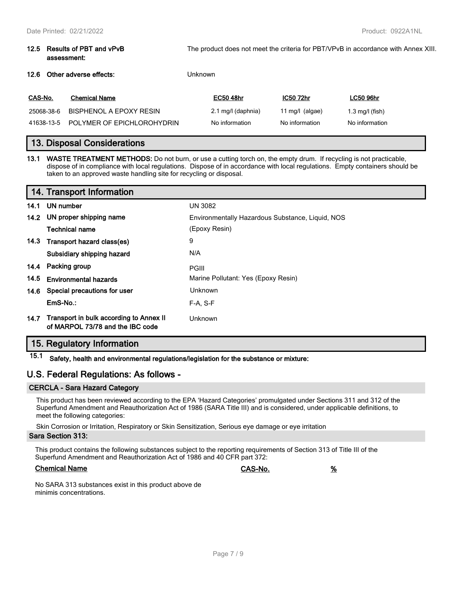#### **12.5 Results of PBT and vPvB assessment:** The product does not meet the criteria for PBT/VPvB in accordance with Annex XIII.

### **12.6 Other adverse effects:** Unknown

| CAS-No.    | <b>Chemical Name</b>       | <b>EC50 48hr</b>   | IC50 72hr         | LC50 96hr       |
|------------|----------------------------|--------------------|-------------------|-----------------|
| 25068-38-6 | BISPHENOL A EPOXY RESIN    | 2.1 mg/l (daphnia) | 11 mg/l $(algae)$ | 1.3 mg/l (fish) |
| 41638-13-5 | POLYMER OF EPICHLOROHYDRIN | No information     | No information    | No information  |

# **13. Disposal Considerations**

**13.1 WASTE TREATMENT METHODS:** Do not burn, or use a cutting torch on, the empty drum. If recycling is not practicable, dispose of in compliance with local regulations. Dispose of in accordance with local regulations. Empty containers should be taken to an approved waste handling site for recycling or disposal.

|      | 14. Transport Information                                                        |                                                  |  |  |
|------|----------------------------------------------------------------------------------|--------------------------------------------------|--|--|
|      | 14.1 UN number                                                                   | <b>UN 3082</b>                                   |  |  |
|      | 14.2 UN proper shipping name                                                     | Environmentally Hazardous Substance, Liquid, NOS |  |  |
|      | <b>Technical name</b>                                                            | (Epoxy Resin)                                    |  |  |
|      | 14.3 Transport hazard class(es)                                                  | 9                                                |  |  |
|      | Subsidiary shipping hazard                                                       | N/A                                              |  |  |
|      | 14.4 Packing group                                                               | <b>PGIII</b>                                     |  |  |
| 14.5 | <b>Environmental hazards</b>                                                     | Marine Pollutant: Yes (Epoxy Resin)              |  |  |
|      | 14.6 Special precautions for user                                                | <b>Unknown</b>                                   |  |  |
|      | EmS-No.:                                                                         | $F-A. S-F$                                       |  |  |
|      | 14.7 Transport in bulk according to Annex II<br>of MARPOL 73/78 and the IBC code | Unknown                                          |  |  |

# **15. Regulatory Information**

**15.1 Safety, health and environmental regulations/legislation for the substance or mixture:**

# **U.S. Federal Regulations: As follows -**

## **CERCLA - Sara Hazard Category**

This product has been reviewed according to the EPA 'Hazard Categories' promulgated under Sections 311 and 312 of the Superfund Amendment and Reauthorization Act of 1986 (SARA Title III) and is considered, under applicable definitions, to meet the following categories:

Skin Corrosion or Irritation, Respiratory or Skin Sensitization, Serious eye damage or eye irritation

#### **Sara Section 313:**

This product contains the following substances subject to the reporting requirements of Section 313 of Title III of the Superfund Amendment and Reauthorization Act of 1986 and 40 CFR part 372:

## **Chemical Name CAS-No. %**

No SARA 313 substances exist in this product above de minimis concentrations.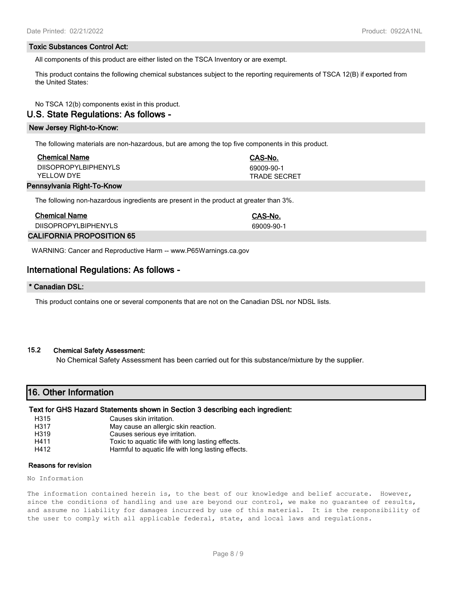### **Toxic Substances Control Act:**

All components of this product are either listed on the TSCA Inventory or are exempt.

This product contains the following chemical substances subject to the reporting requirements of TSCA 12(B) if exported from the United States:

No TSCA 12(b) components exist in this product.

# **U.S. State Regulations: As follows -**

#### **New Jersey Right-to-Know:**

The following materials are non-hazardous, but are among the top five components in this product.

| <b>Chemical Name</b>               | CAS-No.                           |
|------------------------------------|-----------------------------------|
| DIISOPROPYLBIPHENYLS<br>YFLLOW DYF | 69009-90-1<br><b>TRADE SECRET</b> |
|                                    |                                   |

#### **Pennsylvania Right-To-Know**

The following non-hazardous ingredients are present in the product at greater than 3%.

| <b>Chemical Name</b>             | CAS-No.    |
|----------------------------------|------------|
| DIISOPROPYLBIPHENYLS             | 69009-90-1 |
| <b>CALIFORNIA PROPOSITION 65</b> |            |

WARNING: Cancer and Reproductive Harm -- www.P65Warnings.ca.gov

# **International Regulations: As follows -**

### **\* Canadian DSL:**

This product contains one or several components that are not on the Canadian DSL nor NDSL lists.

### **15.2 Chemical Safety Assessment:**

No Chemical Safety Assessment has been carried out for this substance/mixture by the supplier.

# **16. Other Information**

#### **Text for GHS Hazard Statements shown in Section 3 describing each ingredient:**

- H315 Causes skin irritation. H317 May cause an allergic skin reaction.<br>H319 Causes serious eve irritation. Causes serious eye irritation. H411 Toxic to aquatic life with long lasting effects.
- H412 Harmful to aquatic life with long lasting effects.

#### **Reasons for revision**

No Information

The information contained herein is, to the best of our knowledge and belief accurate. However, since the conditions of handling and use are beyond our control, we make no guarantee of results, and assume no liability for damages incurred by use of this material. It is the responsibility of the user to comply with all applicable federal, state, and local laws and regulations.